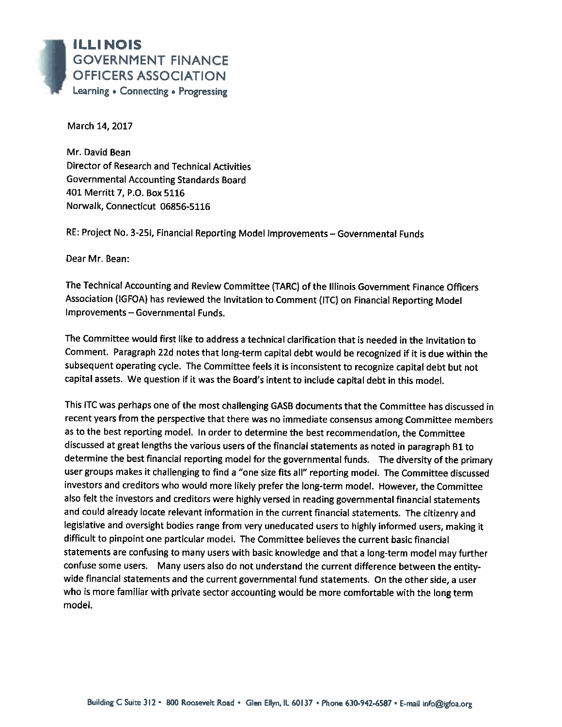

March 14, 2017

Mr. David Bean **Director of Research and Technical Activities Governmental Accounting Standards Board** 401 Merritt 7, P.O. Box 5116 Norwalk, Connecticut 06856-5116

RE: Project No. 3-25I, Financial Reporting Model Improvements - Governmental Funds

Dear Mr. Bean:

The Technical Accounting and Review Committee (TARC) of the Illinois Government Finance Officers Association (IGFOA) has reviewed the Invitation to Comment (ITC) on Financial Reporting Model Improvements - Governmental Funds.

The Committee would first like to address a technical clarification that is needed in the Invitation to Comment. Paragraph 22d notes that long-term capital debt would be recognized if it is due within the subsequent operating cycle. The Committee feels it is inconsistent to recognize capital debt but not capital assets. We question if it was the Board's intent to include capital debt in this model.

This ITC was perhaps one of the most challenging GASB documents that the Committee has discussed in recent years from the perspective that there was no immediate consensus among Committee members as to the best reporting model. In order to determine the best recommendation, the Committee discussed at great lengths the various users of the financial statements as noted in paragraph B1 to determine the best financial reporting model for the governmental funds. The diversity of the primary user groups makes it challenging to find a "one size fits all" reporting model. The Committee discussed investors and creditors who would more likely prefer the long-term model. However, the Committee also felt the investors and creditors were highly versed in reading governmental financial statements and could already locate relevant information in the current financial statements. The citizenry and legislative and oversight bodies range from very uneducated users to highly informed users, making it difficult to pinpoint one particular model. The Committee believes the current basic financial statements are confusing to many users with basic knowledge and that a long-term model may further confuse some users. Many users also do not understand the current difference between the entitywide financial statements and the current governmental fund statements. On the other side, a user who is more familiar with private sector accounting would be more comfortable with the long term model.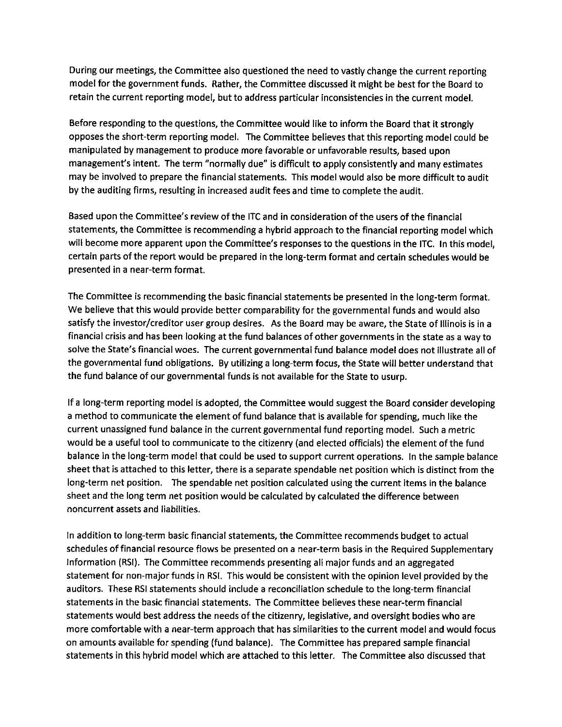During our meetings, the Committee also questioned the need to vastly change the current reporting model for the government funds. Rather, the Committee discussed it might be best for the Board to retain the current reporting model, but to address particular inconsistencies in the current model.

Before responding to the questions, the Committee would like to inform the Board that it strongly opposes the short-term reporting model. The Committee believes that this reporting model could be manipulated by management to produce more favorable or unfavorable results, based upon management's intent. The term "normally due" is difficult to apply consistently and many estimates may be involved to prepare the financial statements. This model would also be more difficult to audit by the auditing firms, resulting in increased audit fees and time to complete the audit.

Based upon the Committee's review of the ITC and in consideration of the users of the financial statements, the Committee is recommending a hybrid approach to the financial reporting model which will become more apparent upon the Committee's responses to the questions in the ITC. In this model, certain parts of the report would be prepared in the long-term format and certain schedules would be presented in a near-term format.

The Committee is recommending the basic financial statements be presented in the long-term format. We believe that this would provide better comparability for the governmental funds and would also satisfy the investor/creditor user group desires. As the Board may be aware, the State of Illinois is in a financial crisis and has been looking at the fund balances of other governments in the state as a way to solve the State's financial woes. The current governmental fund balance model does not illustrate all of the governmental fund obligations. By utilizing a long-term focus, the State will better understand that the fund balance of our governmental funds is not available for the State to usurp.

If a long-term reporting model is adopted, the Committee would suggest the Board consider developing a method to communicate the element of fund balance that is available for spending, much like the current unassigned fund balance in the current governmental fund reporting model. Such a metric would be a useful tool to communicate to the citizenry (and elected officials) the element of the fund balance in the long-term model that could be used to support current operations. In the sample balance sheet that is attached to this letter, there is a separate spendable net position which is distinct from the long-term net position. The spendable net position calculated using the current items in the balance sheet and the long term net position would be calculated by calculated the difference between noncurrent assets and liabilities.

In addition to long-term basic financial statements, the Committee recommends budget to actual schedules of financial resource flows be presented on a near-term basis in the Required Supplementary Information (RSI). The Committee recommends presenting all major funds and an aggregated statement for non-major funds in RSI. This would be consistent with the opinion level provided by the auditors. These RSI statements should include a reconciliation schedule to the long-term financial statements in the basic financial statements. The Committee believes these near-term financial statements would best address the needs of the citizenry, legislative, and oversight bodies who are more comfortable with a near-term approach that has similarities to the current model and would focus on amounts available for spending (fund balance). The Committee has prepared sample financial statements in this hybrid model which are attached to this letter. The Committee also discussed that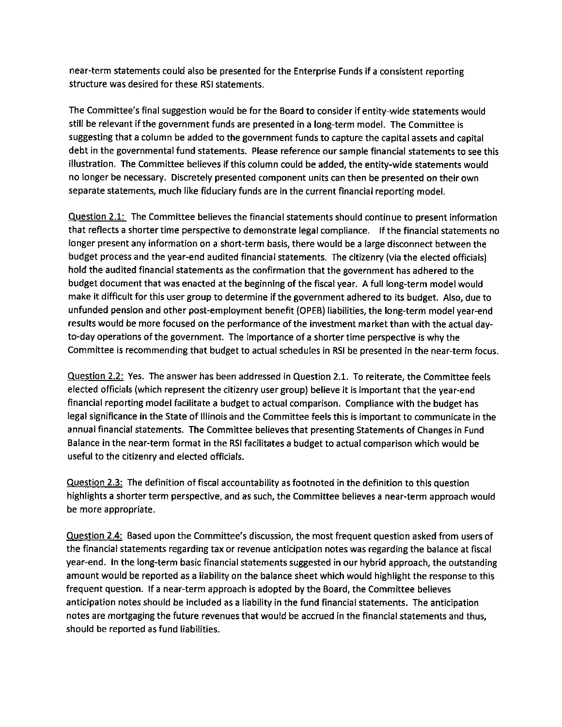near-term statements could also be presented for the Enterprise Funds if a consistent reporting structure was desired for these RSI statements.

The Committee's final suggestion would be for the Board to consider if entity-wide statements would still be relevant if the government funds are presented in a long-term model. The Committee is suggesting that a column be added to the government funds to capture the capital assets and capital debt in the governmental fund statements. Please reference our sample financial statements to see this illustration. The Committee believes if this column could be added, the entity-wide statements would no longer be necessary. Discretely presented component units can then be presented on their own separate statements, much like fiduciary funds are in the current financial reporting model.

Question 2.1: The Committee believes the financial statements should continue to present information that reflects a shorter time perspective to demonstrate legal compliance. If the financial statements no longer present any information on a short-term basis, there would be a large disconnect between the budget process and the year-end audited financial statements. The citizenry (via the elected officials) hold the audited financial statements as the confirmation that the government has adhered to the budget document that was enacted at the beginning of the fiscal year. A full long-term model would make it difficult for this user group to determine if the government adhered to its budget. Also, due to unfunded pension and other post-employment benefit (OPEB) liabilities, the long-term model year-end results would be more focused on the performance of the investment market than with the actual dayto-day operations of the government. The importance of a shorter time perspective is why the Committee is recommending that budget to actual schedules in RSI be presented in the near-term focus.

Question 2.2: Yes. The answer has been addressed in Question 2.1. To reiterate, the Committee feels elected officials (which represent the citizenry user group) believe it is important that the year-end financial reporting model facilitate a budget to actual comparison. Compliance with the budget has legal significance in the State of Illinois and the Committee feels this is important to communicate in the annual financial statements. The Committee believes that presenting Statements of Changes in Fund Balance in the near-term format in the RSI facilitates a budget to actual comparison which would be useful to the citizenry and elected officials.

Question 2.3: The definition of fiscal accountability as footnoted in the definition to this question highlights a shorter term perspective, and as such, the Committee believes a near-term approach would be more appropriate.

Question 2.4: Based upon the Committee's discussion, the most frequent question asked from users of the financial statements regarding tax or revenue anticipation notes was regarding the balance at fiscal year-end. In the long-term basic financial statements suggested in our hybrid approach, the outstanding amount would be reported as a liability on the balance sheet which would highlight the response to this frequent question. If a near-term approach is adopted by the Board, the Committee believes anticipation notes should be included as a liability in the fund financial statements. The anticipation notes are mortgaging the future revenues that would be accrued in the financial statements and thus, should be reported as fund liabilities.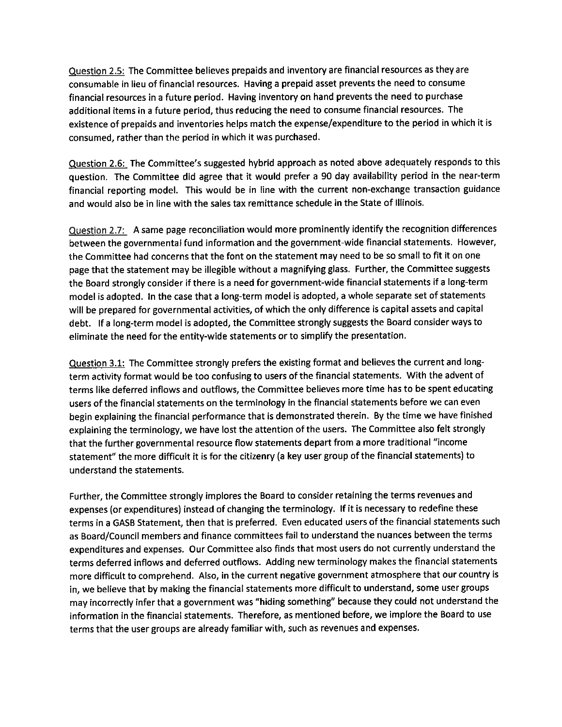Question 2.5: The Committee believes prepaids and inventory are financial resources as they are consumable in lieu of financial resources. Having a prepaid asset prevents the need to consume financial resources in a future period. Having inventory on hand prevents the need to purchase additional items in a future period, thus reducing the need to consume financial resources. The existence of prepaids and inventories helps match the expense/expenditure to the period in which it is consumed, rather than the period in which it was purchased.

Question 2.6: The Committee's suggested hybrid approach as noted above adequately responds to this question. The Committee did agree that it would prefer a 90 day availability period in the near-term financial reporting model. This would be in line with the current non-exchange transaction guidance and would also be in line with the sales tax remittance schedule in the State of Illinois.

Question 2.7: A same page reconciliation would more prominently identify the recognition differences between the governmental fund information and the government-wide financial statements. However, the Committee had concerns that the font on the statement may need to be so small to fit it on one page that the statement may be illegible without a magnifying glass. Further, the Committee suggests the Board strongly consider if there is a need for government-wide financial statements if a long-term model is adopted. In the case that a long-term model is adopted, a whole separate set of statements will be prepared for governmental activities, of which the only difference is capital assets and capital debt. If a long-term model is adopted, the Committee strongly suggests the Board consider ways to eliminate the need for the entity-wide statements or to simplify the presentation.

Question 3.1: The Committee strongly prefers the existing format and believes the current and longterm activity format would be too confusing to users of the financial statements. With the advent of terms like deferred inflows and outflows, the Committee believes more time has to be spent educating users of the financial statements on the terminology in the financial statements before we can even begin explaining the financial performance that is demonstrated therein. By the time we have finished explaining the terminology, we have lost the attention of the users. The Committee also felt strongly that the further governmental resource flow statements depart from a more traditional "income statement" the more difficult it is for the citizenry (a key user group of the financial statements) to understand the statements.

Further, the Committee strongly implores the Board to consider retaining the terms revenues and expenses (or expenditures) instead of changing the terminology. If it is necessary to redefine these terms in a GASB Statement, then that is preferred. Even educated users of the financial statements such as Board/Council members and finance committees fail to understand the nuances between the terms expenditures and expenses. Our Committee also finds that most users do not currently understand the terms deferred inflows and deferred outflows. Adding new terminology makes the financial statements more difficult to comprehend. Also, in the current negative government atmosphere that our country is in, we believe that by making the financial statements more difficult to understand, some user groups may incorrectly infer that a government was "hiding something" because they could not understand the information in the financial statements. Therefore, as mentioned before, we implore the Board to use terms that the user groups are already familiar with, such as revenues and expenses.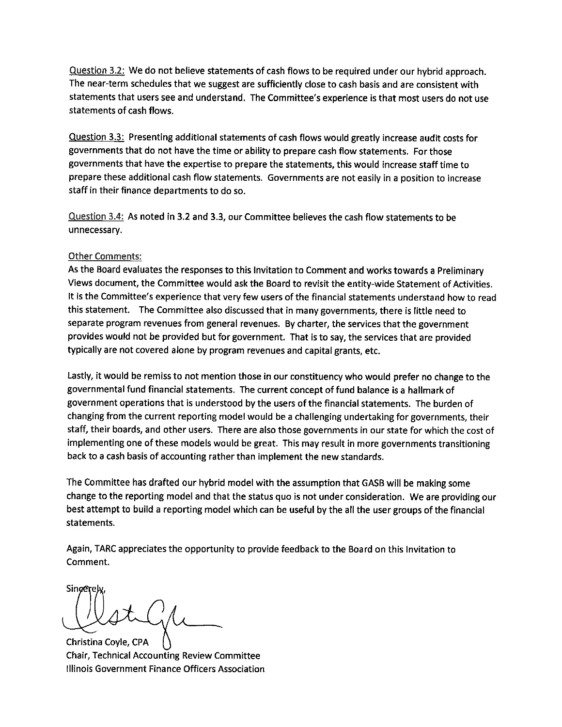Question 3.2: We do not believe statements of cash flows to be required under our hybrid approach. The near-term schedules that we suggest are sufficiently close to cash basis and are consistent with statements that users see and understand. The Committee's experience is that most users do not use statements of cash flows.

Question 3.3: Presenting additional statements of cash flows would greatly increase audit costs for governments that do not have the time or ability to prepare cash flow statements. For those governments that have the expertise to prepare the statements, this would increase staff time to prepare these additional cash flow statements. Governments are not easily in a position to increase staff in their finance departments to do so.

Question 3.4: As noted in 3.2 and 3.3, our Committee believes the cash flow statements to be unnecessary.

## **Other Comments:**

As the Board evaluates the responses to this Invitation to Comment and works towards a Preliminary Views document, the Committee would ask the Board to revisit the entity-wide Statement of Activities. It is the Committee's experience that very few users of the financial statements understand how to read this statement. The Committee also discussed that in many governments, there is little need to separate program revenues from general revenues. By charter, the services that the government provides would not be provided but for government. That is to say, the services that are provided typically are not covered alone by program revenues and capital grants, etc.

Lastly, it would be remiss to not mention those in our constituency who would prefer no change to the governmental fund financial statements. The current concept of fund balance is a hallmark of government operations that is understood by the users of the financial statements. The burden of changing from the current reporting model would be a challenging undertaking for governments, their staff, their boards, and other users. There are also those governments in our state for which the cost of implementing one of these models would be great. This may result in more governments transitioning back to a cash basis of accounting rather than implement the new standards.

The Committee has drafted our hybrid model with the assumption that GASB will be making some change to the reporting model and that the status quo is not under consideration. We are providing our best attempt to build a reporting model which can be useful by the all the user groups of the financial statements.

Again, TARC appreciates the opportunity to provide feedback to the Board on this Invitation to Comment.

Sincerel

Christina Coyle, CPA **Chair, Technical Accounting Review Committee** Illinois Government Finance Officers Association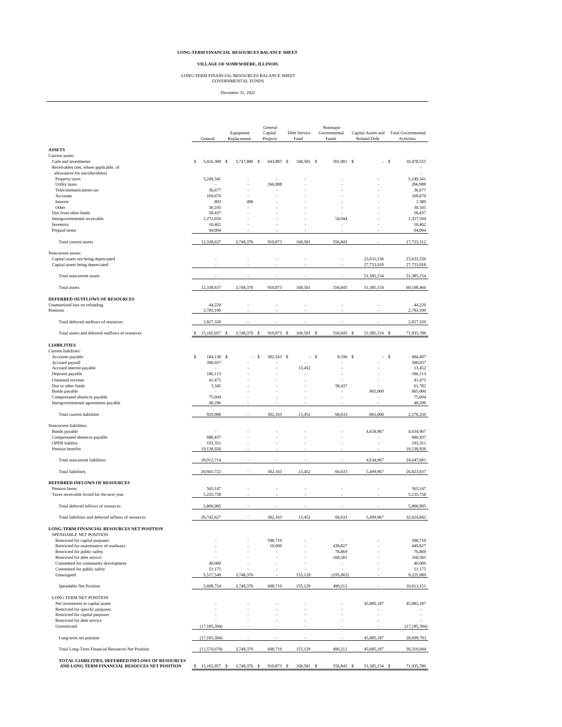### **LONG-TERM FINANCIAL RESOURCES BALANCE SHEET**

### **VILLAGE OF SOMEWHERE, ILLINOIS**

LONG-TERM FINANCIAL RESOURCES BALANCE SHEET GOVERNMENTAL FUNDS

December 31, 2022

|                                                                                                   | General             | Equipment<br>Replacement |    | General<br>Capital<br>Projects |  | Debt Service<br>Fund |   | Nonmajor<br>Governmental<br>Funds | Capital Assets and<br><b>Related Debt</b> |               |      | Total Governmental<br>Activities |  |
|---------------------------------------------------------------------------------------------------|---------------------|--------------------------|----|--------------------------------|--|----------------------|---|-----------------------------------|-------------------------------------------|---------------|------|----------------------------------|--|
| <b>ASSETS</b>                                                                                     |                     |                          |    |                                |  |                      |   |                                   |                                           |               |      |                                  |  |
| Current assets:                                                                                   |                     |                          |    |                                |  |                      |   |                                   |                                           |               |      |                                  |  |
| Cash and investments<br>Receivables (net, where applicable, of                                    | S<br>5,416,308 \$   | 3,747,880 \$             |    | 643,885 \$                     |  | 168,581 \$           |   | 501,901 \$                        |                                           |               | - \$ | 10,478,555                       |  |
| allowances for uncollectibles)                                                                    |                     |                          |    |                                |  |                      |   |                                   |                                           |               |      |                                  |  |
| Property taxes<br>Utility taxes                                                                   | 5,249,341           |                          |    | 266,988                        |  |                      |   |                                   |                                           |               |      | 5,249,341<br>266,988             |  |
| Telecommunications tax                                                                            | 36,677              |                          |    | ٠                              |  |                      |   |                                   |                                           |               |      | 36,677                           |  |
| Accounts                                                                                          | 169,670             |                          |    |                                |  |                      |   |                                   |                                           |               |      | 169,670                          |  |
| Interest<br>Other                                                                                 | 893<br>30,105       | 496                      |    |                                |  |                      |   |                                   |                                           |               |      | 1,389<br>30,105                  |  |
| Due from other funds                                                                              | 58,437              |                          |    |                                |  |                      |   |                                   |                                           |               |      | 58,437                           |  |
| Intergovernmental receivable                                                                      | 1,272,650           |                          |    |                                |  |                      |   | 54,944                            |                                           |               |      | 1.327.594                        |  |
| Inventory<br>Prepaid items                                                                        | 10,462<br>94,094    |                          |    |                                |  |                      |   |                                   |                                           |               |      | 10,462<br>94,094                 |  |
| Total current assets                                                                              | 12,338,637          | 3,748,376                |    | 910,873                        |  | 168,581              |   | 556,845                           |                                           |               |      | 17,723,312                       |  |
| Noncurrent assets:                                                                                |                     |                          |    |                                |  |                      |   |                                   |                                           |               |      |                                  |  |
| Capital assets not being depreciated                                                              |                     |                          |    |                                |  |                      |   |                                   |                                           | 23,631,236    |      | 23,631,236                       |  |
| Capital assets being depreciated                                                                  |                     |                          |    |                                |  |                      |   |                                   |                                           | 27,753,918    |      | 27,753,918                       |  |
| Total noncurrent assets                                                                           |                     |                          |    |                                |  |                      |   |                                   |                                           | 51,385,154    |      | 51,385,154                       |  |
| <b>Total</b> assets                                                                               | 12,338,637          | 3,748,376                |    | 910,873                        |  | 168,581              |   | 556,845                           |                                           | 51,385,154    |      |                                  |  |
|                                                                                                   |                     |                          |    |                                |  |                      |   |                                   |                                           |               |      | 69,108,466                       |  |
| DEFERRED OUTFLOWS OF RESOURCES<br>Unamortized loss on refunding                                   | 44,220              |                          |    |                                |  |                      |   |                                   |                                           |               |      | 44,220                           |  |
| Pensions                                                                                          | 2,783,100           |                          |    |                                |  |                      |   |                                   |                                           |               |      | 2,783,100                        |  |
| Total deferred outflows of resources                                                              | 2,827,320           |                          |    |                                |  |                      |   |                                   |                                           |               |      | 2,827,320                        |  |
|                                                                                                   |                     |                          |    |                                |  |                      |   |                                   |                                           |               |      |                                  |  |
| Total assets and deferred outflows of resources                                                   | \$<br>15,165,957 \$ | 3,748,376 \$             |    | 910,873 \$                     |  | 168,581 \$           |   | 556,845 \$                        |                                           | 51,385,154 \$ |      | 71,935,786                       |  |
| <b>LIABILITIES</b><br>Current liabilities:                                                        |                     |                          |    |                                |  |                      |   |                                   |                                           |               |      |                                  |  |
| Accounts payable                                                                                  | \$<br>184.138 \$    |                          | \$ | 302,163 \$                     |  | ×.                   | S | 8,196 \$                          |                                           | ٠             | s    | 494,497                          |  |
| Accrued payroll                                                                                   | 390,037             |                          |    |                                |  |                      |   |                                   |                                           |               |      | 390,037                          |  |
| Accrued interest payable<br>Deposits payable                                                      | ×.<br>186,113       |                          |    |                                |  | 13,452               |   |                                   |                                           |               |      | 13,452<br>186,113                |  |
| Unearned revenue                                                                                  | 41,475              |                          |    |                                |  |                      |   |                                   |                                           |               |      | 41,475                           |  |
| Due to other funds                                                                                | 3,345               |                          |    |                                |  |                      |   | 58,437                            |                                           |               |      | 61,782                           |  |
| Bonds payable                                                                                     |                     |                          |    |                                |  |                      |   |                                   |                                           | 865,000       |      | 865,000                          |  |
| Compensated absences payable<br>Intergovernmental agreements payable                              | 75,604<br>48,296    |                          |    |                                |  |                      |   |                                   |                                           |               |      | 75,604<br>48,296                 |  |
| Total current liabilities                                                                         | 929,008             |                          |    | 302,163                        |  | 13,452               |   | 66,633                            |                                           | 865,000       |      | 2,176,256                        |  |
|                                                                                                   |                     |                          |    |                                |  |                      |   |                                   |                                           |               |      |                                  |  |
| Noncurrent liabilities:<br>Bonds payable                                                          |                     |                          |    |                                |  |                      |   |                                   |                                           | 4,634,967     |      | 4,634,967                        |  |
| Compensated absences payable                                                                      | 680,437             |                          |    |                                |  |                      |   |                                   |                                           |               |      | 680,437                          |  |
| <b>OPEB</b> liability                                                                             | 193,351             |                          |    |                                |  |                      |   |                                   |                                           |               |      | 193,351                          |  |
| Pension benefits                                                                                  | 19,138,926          |                          |    |                                |  |                      |   |                                   |                                           |               |      | 19,138,926                       |  |
| Total noncurrent liabilities                                                                      | 20,012,714          |                          |    |                                |  |                      |   |                                   |                                           | 4,634,967     |      | 24,647,681                       |  |
| <b>Total liabilities</b>                                                                          | 20,941,722          |                          |    | 302,163                        |  | 13,452               |   | 66,633                            |                                           | 5,499,967     |      | 26,823,937                       |  |
| DEFERRED INFLOWS OF RESOURCES                                                                     |                     |                          |    |                                |  |                      |   |                                   |                                           |               |      |                                  |  |
| Pension Items                                                                                     | 565,147             |                          |    | i,                             |  |                      |   |                                   |                                           |               |      | 565,147                          |  |
| Taxes receivable levied for the next year                                                         | 5,235,758           |                          |    |                                |  |                      |   |                                   |                                           |               |      | 5,235,758                        |  |
| Total deferred inflows of resources                                                               | 5,800,905           |                          |    |                                |  |                      |   |                                   |                                           |               |      | 5,800,905                        |  |
| Total liabilities and deferred inflows of resources                                               | 26,742,627          |                          |    | 302,163                        |  | 13,452               |   | 66,633                            |                                           | 5,499,967     |      | 32,624,842                       |  |
| LONG-TERM FINANCIAL RESOURCES NET POSITION                                                        |                     |                          |    |                                |  |                      |   |                                   |                                           |               |      |                                  |  |
| SPENDABLE NET POSITION                                                                            |                     |                          |    |                                |  |                      |   |                                   |                                           |               |      |                                  |  |
| Restricted for capital purposes<br>Restricted for maintenance of roadways                         |                     |                          |    | 598,710<br>10,000              |  |                      |   | 439,827                           |                                           |               |      | 598,710<br>449,827               |  |
| Restricted for public safety                                                                      |                     |                          |    |                                |  |                      |   | 76,869                            |                                           |               |      | 76,869                           |  |
| Restricted for debt service                                                                       |                     |                          |    |                                |  |                      |   | 168,581                           |                                           |               |      | 168,581                          |  |
| Committed for community development                                                               | 40,000<br>51,175    |                          |    | i,                             |  |                      |   | $\sim$                            |                                           |               |      | 40,000<br>51,175                 |  |
| Committed for public safety<br>Unassigned                                                         | 5,517,549           | 3,748,376                |    |                                |  | 155,129              |   | (195, 065)                        |                                           |               |      | 9,225,989                        |  |
| Spendable Net Position                                                                            | 5,608,724           | 3,748,376                |    | 608,710                        |  | 155,129              |   | 490,212                           |                                           |               |      | 10,611,151                       |  |
| LONG TERM NET POSITION                                                                            |                     |                          |    |                                |  |                      |   |                                   |                                           |               |      |                                  |  |
| Net investment in capital assets                                                                  |                     |                          |    |                                |  |                      |   |                                   |                                           | 45,885,187    |      | 45,885,187                       |  |
| Restricted for specific purposes                                                                  | i,                  |                          |    | i,                             |  |                      |   |                                   |                                           |               |      |                                  |  |
| Restricted for capital purposes<br>Restricted for debt service                                    |                     |                          |    |                                |  |                      |   |                                   |                                           |               |      |                                  |  |
| Unrestricted                                                                                      | (17, 185, 394)      |                          |    |                                |  |                      |   |                                   |                                           |               |      | (17, 185, 394)                   |  |
| Long-term net position                                                                            | (17, 185, 394)      |                          |    |                                |  |                      |   |                                   |                                           | 45,885,187    |      | 28,699,793                       |  |
| Total Long-Term Financial Resources Net Position                                                  | (11, 576, 670)      | 3,748,376                |    | 608,710                        |  | 155,129              |   | 490,212                           |                                           | 45,885,187    |      | 39,310,944                       |  |
| TOTAL LIABILITIES, DEFERRED INFLOWS OF RESOURCES<br>AND LONG TERM FINANCIAL RESOUCES NET POSITION | $$15,165,957$ \$    | 3,748,376 \$             |    | 910,873 \$                     |  | 168,581 \$           |   | 556,845 \$                        |                                           | 51,385,154 \$ |      | 71,935,786                       |  |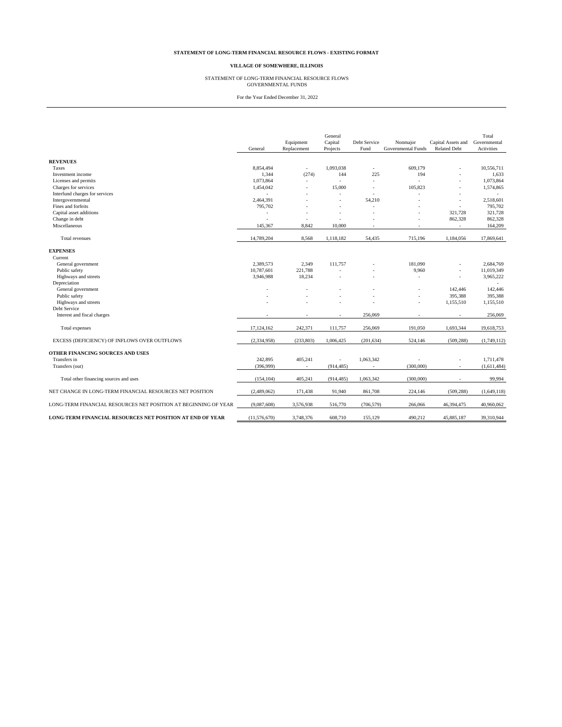### **STATEMENT OF LONG-TERM FINANCIAL RESOURCE FLOWS - EXISTING FORMAT**

### **VILLAGE OF SOMEWHERE, ILLINOIS**

# STATEMENT OF LONG-TERM FINANCIAL RESOURCE FLOWS GOVERNMENTAL FUNDS

For the Year Ended December 31, 2022

|                                                                 | General      | Equipment<br>Replacement | General<br>Capital<br>Projects | Debt Service<br>Fund | Nonmajor<br>Governmental Funds | Capital Assets and<br>Related Debt | Total<br>Governmental<br>Activities |
|-----------------------------------------------------------------|--------------|--------------------------|--------------------------------|----------------------|--------------------------------|------------------------------------|-------------------------------------|
| <b>REVENUES</b>                                                 |              |                          |                                |                      |                                |                                    |                                     |
| Taxes                                                           | 8,854,494    | $\omega$                 | 1,093,038                      | $\mathbf{r}$         | 609.179                        |                                    | 10,556,711                          |
| Investment income                                               | 1,344        | (274)                    | 144                            | 225                  | 194                            |                                    | 1,633                               |
| Licenses and permits                                            | 1,073,864    |                          | $\sim$                         | ÷.                   |                                |                                    | 1,073,864                           |
| Charges for services                                            | 1,454,042    |                          | 15,000                         | $\sim$               | 105,823                        | ÷,                                 | 1,574,865                           |
| Interfund charges for services                                  |              |                          | ٠                              |                      |                                |                                    |                                     |
| Intergovernmental                                               | 2,464,391    |                          | ٠                              | 54,210               |                                | ÷,                                 | 2,518,601                           |
| Fines and forfeits                                              | 795,702      |                          | ä,                             | ٠                    |                                | ٠                                  | 795,702                             |
| Capital asset additions                                         |              |                          | ÷                              |                      |                                | 321,728                            | 321,728                             |
| Change in debt                                                  |              |                          |                                |                      |                                | 862,328                            | 862,328                             |
| Miscellaneous                                                   | 145,367      | 8,842                    | 10,000                         |                      |                                | $\overline{\phantom{a}}$           | 164,209                             |
| Total revenues                                                  | 14,789,204   | 8,568                    | 1,118,182                      | 54,435               | 715,196                        | 1,184,056                          | 17,869,641                          |
| <b>EXPENSES</b>                                                 |              |                          |                                |                      |                                |                                    |                                     |
| Current                                                         |              |                          |                                |                      |                                |                                    |                                     |
| General government                                              | 2.389.573    | 2,349                    | 111,757                        |                      | 181,090                        |                                    | 2.684.769                           |
| Public safety                                                   | 10,787,601   | 221,788                  |                                |                      | 9,960                          | ÷,                                 | 11,019,349                          |
| Highways and streets                                            | 3,946,988    | 18,234                   | ٠                              |                      |                                | ÷,                                 | 3,965,222                           |
| Depreciation                                                    |              |                          |                                |                      |                                |                                    |                                     |
| General government                                              |              |                          |                                |                      |                                | 142,446                            | 142,446                             |
| Public safety                                                   |              |                          |                                |                      |                                | 395.388                            | 395.388                             |
| Highways and streets                                            |              |                          |                                |                      |                                | 1,155,510                          | 1,155,510                           |
| Debt Service                                                    |              |                          |                                |                      |                                |                                    |                                     |
| Interest and fiscal charges                                     |              | ٠                        | ٠                              | 256,069              |                                | $\sim$                             | 256,069                             |
| Total expenses                                                  | 17,124,162   | 242,371                  | 111,757                        | 256,069              | 191,050                        | 1,693,344                          | 19,618,753                          |
| EXCESS (DEFICIENCY) OF INFLOWS OVER OUTFLOWS                    | (2,334,958)  | (233, 803)               | 1,006,425                      | (201, 634)           | 524,146                        | (509, 288)                         | (1,749,112)                         |
| OTHER FINANCING SOURCES AND USES                                |              |                          |                                |                      |                                |                                    |                                     |
| Transfers in                                                    | 242,895      | 405,241                  |                                | 1,063,342            |                                |                                    | 1,711,478                           |
| Transfers (out)                                                 | (396,999)    | $\bar{a}$                | (914, 485)                     |                      | (300,000)                      |                                    | (1,611,484)                         |
| Total other financing sources and uses                          | (154, 104)   | 405,241                  | (914, 485)                     | 1,063,342            | (300,000)                      |                                    | 99,994                              |
| NET CHANGE IN LONG-TERM FINANCIAL RESOURCES NET POSITION        | (2,489,062)  | 171,438                  | 91,940                         | 861,708              | 224,146                        | (509, 288)                         | (1,649,118)                         |
| LONG-TERM FINANCIAL RESOURCES NET POSITION AT BEGINNING OF YEAR | (9,087,608)  | 3,576,938                | 516,770                        | (706, 579)           | 266,066                        | 46,394,475                         | 40,960,062                          |
| LONG-TERM FINANCIAL RESOURCES NET POSITION AT END OF YEAR       | (11,576,670) | 3,748,376                | 608,710                        | 155,129              | 490.212                        | 45,885,187                         | 39,310,944                          |